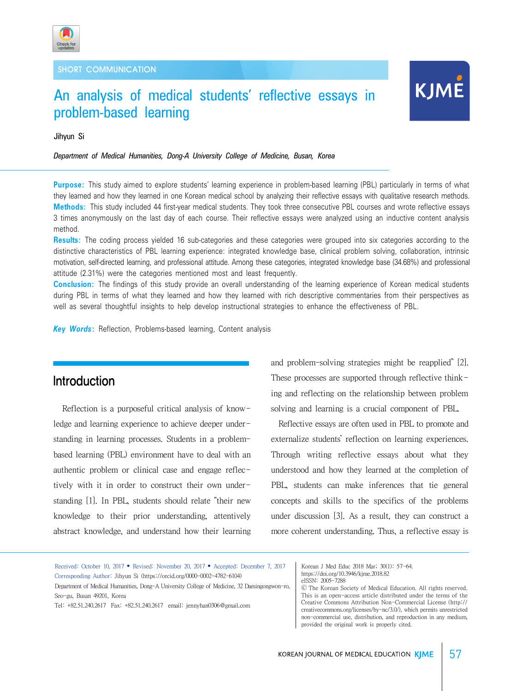

# An analysis of medical students' reflective essays in problem-based learning

# **KJME**

Jihyun Si

#### *Department of Medical Humanities, Dong-A University College of Medicine, Busan, Korea*

**Purpose:** This study aimed to explore students' learning experience in problem-based learning (PBL) particularly in terms of what they learned and how they learned in one Korean medical school by analyzing their reflective essays with qualitative research methods. **Methods:** This study included 44 first-year medical students. They took three consecutive PBL courses and wrote reflective essays 3 times anonymously on the last day of each course. Their reflective essays were analyzed using an inductive content analysis method.

**Results:** The coding process yielded 16 sub-categories and these categories were grouped into six categories according to the distinctive characteristics of PBL learning experience: integrated knowledge base, clinical problem solving, collaboration, intrinsic motivation, self-directed learning, and professional attitude. Among these categories, integrated knowledge base (34.68%) and professional attitude (2.31%) were the categories mentioned most and least frequently.

**Conclusion:** The findings of this study provide an overall understanding of the learning experience of Korean medical students during PBL in terms of what they learned and how they learned with rich descriptive commentaries from their perspectives as well as several thoughtful insights to help develop instructional strategies to enhance the effectiveness of PBL.

*Key Words***:** Reflection, Problems-based learning, Content analysis

# Introduction

Reflection is a purposeful critical analysis of knowledge and learning experience to achieve deeper understanding in learning processes. Students in a problembased learning (PBL) environment have to deal with an authentic problem or clinical case and engage reflectively with it in order to construct their own understanding [1]. In PBL, students should relate "their new knowledge to their prior understanding, attentively abstract knowledge, and understand how their learning

and problem-solving strategies might be reapplied" [2]. These processes are supported through reflective thinking and reflecting on the relationship between problem solving and learning is a crucial component of PBL.

 Reflective essays are often used in PBL to promote and externalize students' reflection on learning experiences. Through writing reflective essays about what they understood and how they learned at the completion of PBL, students can make inferences that tie general concepts and skills to the specifics of the problems under discussion [3]. As a result, they can construct a more coherent understanding. Thus, a reflective essay is

Received: October 10, 2017 • Revised: November 20, 2017 • Accepted: December 7, 2017 Corresponding Author: Jihyun Si (https://orcid.org/0000-0002-4782-6104) Department of Medical Humanities, Dong-A University College of Medicine, 32 Daesingongwon-ro, Seo-gu, Busan 49201, Korea

Tel: +82.51.240.2617 Fax: +82.51.240.2617 email: jennyhan0306@gmail.com

Korean J Med Educ 2018 Mar; 30(1): 57-64. https://doi.org/10.3946/kjme.2018.82 eISSN: 2005-7288

Ⓒ The Korean Society of Medical Education. All rights reserved. This is an open-access article distributed under the terms of the Creative Commons Attribution Non-Commercial License (http:// creativecommons.org/licenses/by-nc/3.0/), which permits unrestricted non-commercial use, distribution, and reproduction in any medium, provided the original work is properly cited.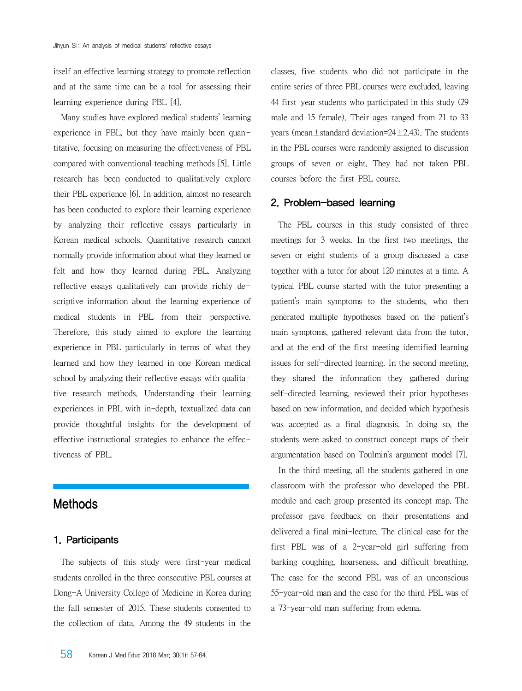itself an effective learning strategy to promote reflection and at the same time can be a tool for assessing their learning experience during PBL [4].

 Many studies have explored medical students' learning experience in PBL, but they have mainly been quantitative, focusing on measuring the effectiveness of PBL compared with conventional teaching methods [5]. Little research has been conducted to qualitatively explore their PBL experience [6]. In addition, almost no research has been conducted to explore their learning experience by analyzing their reflective essays particularly in Korean medical schools. Quantitative research cannot normally provide information about what they learned or felt and how they learned during PBL. Analyzing reflective essays qualitatively can provide richly descriptive information about the learning experience of medical students in PBL from their perspective. Therefore, this study aimed to explore the learning experience in PBL particularly in terms of what they learned and how they learned in one Korean medical school by analyzing their reflective essays with qualitative research methods. Understanding their learning experiences in PBL with in-depth, textualized data can provide thoughtful insights for the development of effective instructional strategies to enhance the effectiveness of PBL.

# Methods

#### 1. Participants

 The subjects of this study were first-year medical students enrolled in the three consecutive PBL courses at Dong-A University College of Medicine in Korea during the fall semester of 2015. These students consented to the collection of data. Among the 49 students in the

classes, five students who did not participate in the entire series of three PBL courses were excluded, leaving 44 first-year students who participated in this study (29 male and 15 female). Their ages ranged from 21 to 33 years (mean $\pm$ standard deviation=24 $\pm$ 2.43). The students in the PBL courses were randomly assigned to discussion groups of seven or eight. They had not taken PBL courses before the first PBL course.

#### 2. Problem-based learning

 The PBL courses in this study consisted of three meetings for 3 weeks. In the first two meetings, the seven or eight students of a group discussed a case together with a tutor for about 120 minutes at a time. A typical PBL course started with the tutor presenting a patient's main symptoms to the students, who then generated multiple hypotheses based on the patient's main symptoms, gathered relevant data from the tutor, and at the end of the first meeting identified learning issues for self-directed learning. In the second meeting, they shared the information they gathered during self-directed learning, reviewed their prior hypotheses based on new information, and decided which hypothesis was accepted as a final diagnosis. In doing so, the students were asked to construct concept maps of their argumentation based on Toulmin's argument model [7].

 In the third meeting, all the students gathered in one classroom with the professor who developed the PBL module and each group presented its concept map. The professor gave feedback on their presentations and delivered a final mini-lecture. The clinical case for the first PBL was of a 2-year-old girl suffering from barking coughing, hoarseness, and difficult breathing. The case for the second PBL was of an unconscious 55-year-old man and the case for the third PBL was of a 73-year-old man suffering from edema.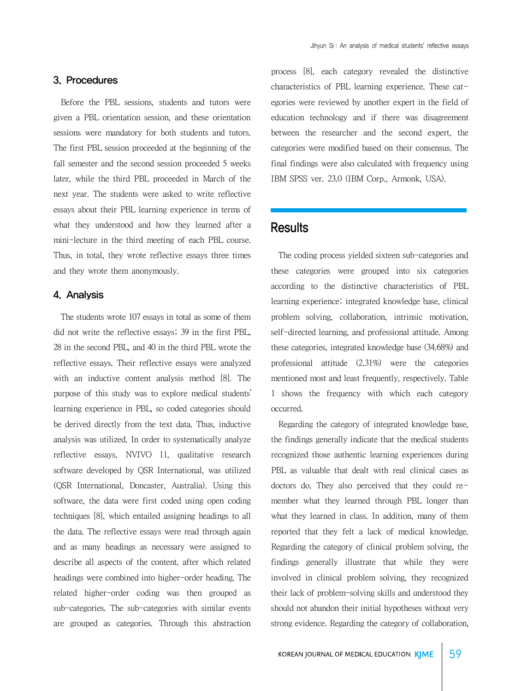#### 3. Procedures

 Before the PBL sessions, students and tutors were given a PBL orientation session, and these orientation sessions were mandatory for both students and tutors. The first PBL session proceeded at the beginning of the fall semester and the second session proceeded 5 weeks later, while the third PBL proceeded in March of the next year. The students were asked to write reflective essays about their PBL learning experience in terms of what they understood and how they learned after a mini-lecture in the third meeting of each PBL course. Thus, in total, they wrote reflective essays three times and they wrote them anonymously.

#### 4. Analysis

 The students wrote 107 essays in total as some of them did not write the reflective essays; 39 in the first PBL, 28 in the second PBL, and 40 in the third PBL wrote the reflective essays. Their reflective essays were analyzed with an inductive content analysis method [8]. The purpose of this study was to explore medical students' learning experience in PBL, so coded categories should be derived directly from the text data. Thus, inductive analysis was utilized. In order to systematically analyze reflective essays, NVIVO 11, qualitative research software developed by QSR International, was utilized (QSR International, Doncaster, Australia). Using this software, the data were first coded using open coding techniques [8], which entailed assigning headings to all the data. The reflective essays were read through again and as many headings as necessary were assigned to describe all aspects of the content, after which related headings were combined into higher-order heading. The related higher-order coding was then grouped as sub-categories. The sub-categories with similar events are grouped as categories. Through this abstraction

process [8], each category revealed the distinctive characteristics of PBL learning experience. These categories were reviewed by another expert in the field of education technology and if there was disagreement between the researcher and the second expert, the categories were modified based on their consensus. The final findings were also calculated with frequency using IBM SPSS ver. 23.0 (IBM Corp., Armonk, USA).

## **Results**

 The coding process yielded sixteen sub-categories and these categories were grouped into six categories according to the distinctive characteristics of PBL learning experience: integrated knowledge base, clinical problem solving, collaboration, intrinsic motivation, self-directed learning, and professional attitude. Among these categories, integrated knowledge base (34.68%) and professional attitude (2.31%) were the categories mentioned most and least frequently, respectively. Table 1 shows the frequency with which each category occurred.

 Regarding the category of integrated knowledge base, the findings generally indicate that the medical students recognized those authentic learning experiences during PBL as valuable that dealt with real clinical cases as doctors do. They also perceived that they could remember what they learned through PBL longer than what they learned in class. In addition, many of them reported that they felt a lack of medical knowledge. Regarding the category of clinical problem solving, the findings generally illustrate that while they were involved in clinical problem solving, they recognized their lack of problem-solving skills and understood they should not abandon their initial hypotheses without very strong evidence. Regarding the category of collaboration,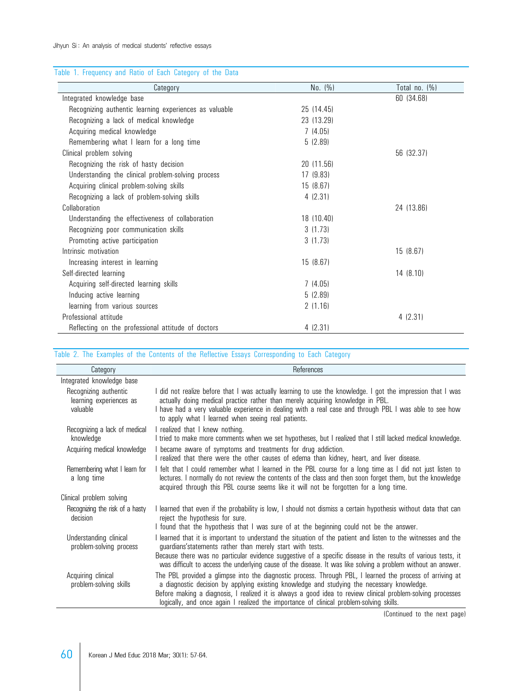### Table 1. Frequency and Ratio of Each Category of the Data

| Category                                               | No. (%)    | Total no. $(\% )$ |
|--------------------------------------------------------|------------|-------------------|
| Integrated knowledge base                              |            | 60 (34.68)        |
| Recognizing authentic learning experiences as valuable | 25 (14.45) |                   |
| Recognizing a lack of medical knowledge                | 23 (13.29) |                   |
| Acquiring medical knowledge                            | 7(4.05)    |                   |
| Remembering what I learn for a long time               | 5(2.89)    |                   |
| Clinical problem solving                               |            | 56 (32.37)        |
| Recognizing the risk of hasty decision                 | 20 (11.56) |                   |
| Understanding the clinical problem-solving process     | 17(9.83)   |                   |
| Acquiring clinical problem-solving skills              | 15(8.67)   |                   |
| Recognizing a lack of problem-solving skills           | 4(2.31)    |                   |
| Collaboration                                          |            | 24 (13.86)        |
| Understanding the effectiveness of collaboration       | 18 (10.40) |                   |
| Recognizing poor communication skills                  | 3(1.73)    |                   |
| Promoting active participation                         | 3(1.73)    |                   |
| Intrinsic motivation                                   |            | 15 (8.67)         |
| Increasing interest in learning                        | 15 (8.67)  |                   |
| Self-directed learning                                 |            | 14 (8.10)         |
| Acquiring self-directed learning skills                | 7(4.05)    |                   |
| Inducing active learning                               | 5(2.89)    |                   |
| learning from various sources                          | 2(1.16)    |                   |
| Professional attitude                                  |            | 4(2.31)           |
| Reflecting on the professional attitude of doctors     | 4(2.31)    |                   |

#### Table 2. The Examples of the Contents of the Reflective Essays Corresponding to Each Category

| Category                                                     | References                                                                                                                                                                                                                                                                                                                                                 |
|--------------------------------------------------------------|------------------------------------------------------------------------------------------------------------------------------------------------------------------------------------------------------------------------------------------------------------------------------------------------------------------------------------------------------------|
| Integrated knowledge base                                    |                                                                                                                                                                                                                                                                                                                                                            |
| Recognizing authentic<br>learning experiences as<br>valuable | did not realize before that I was actually learning to use the knowledge. I got the impression that I was<br>actually doing medical practice rather than merely acquiring knowledge in PBL.<br>have had a very valuable experience in dealing with a real case and through PBL I was able to see how<br>to apply what I learned when seeing real patients. |
| Recognizing a lack of medical<br>knowledge                   | I realized that I knew nothing.<br>tried to make more comments when we set hypotheses, but I realized that I still lacked medical knowledge.                                                                                                                                                                                                               |
| Acquiring medical knowledge                                  | became aware of symptoms and treatments for drug addiction.<br>realized that there were the other causes of edema than kidney, heart, and liver disease.                                                                                                                                                                                                   |
| Remembering what I learn for<br>a long time                  | felt that I could remember what I learned in the PBL course for a long time as I did not just listen to<br>lectures. I normally do not review the contents of the class and then soon forget them, but the knowledge<br>acquired through this PBL course seems like it will not be forgotten for a long time.                                              |
| Clinical problem solving                                     |                                                                                                                                                                                                                                                                                                                                                            |
| Recognizing the risk of a hasty<br>decision                  | learned that even if the probability is low, I should not dismiss a certain hypothesis without data that can<br>reject the hypothesis for sure.<br>found that the hypothesis that I was sure of at the beginning could not be the answer.                                                                                                                  |
| Understanding clinical<br>problem-solving process            | learned that it is important to understand the situation of the patient and listen to the witnesses and the<br>guardians'statements rather than merely start with tests.                                                                                                                                                                                   |
|                                                              | Because there was no particular evidence suggestive of a specific disease in the results of various tests, it<br>was difficult to access the underlying cause of the disease. It was like solving a problem without an answer.                                                                                                                             |
| Acquiring clinical<br>problem-solving skills                 | The PBL provided a glimpse into the diagnostic process. Through PBL, I learned the process of arriving at<br>a diagnostic decision by applying existing knowledge and studying the necessary knowledge.<br>Before making a diagnosis, I realized it is always a good idea to review clinical problem-solving processes                                     |
|                                                              | logically, and once again I realized the importance of clinical problem-solving skills.<br>$10$ antiqued to the next nego                                                                                                                                                                                                                                  |

(Continued to the next page)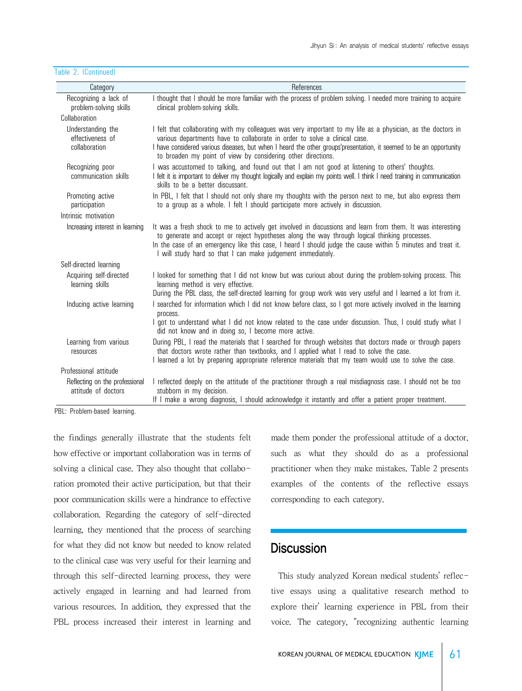| Category                                               | References                                                                                                                                                                                                                                                                                                                                                                                |
|--------------------------------------------------------|-------------------------------------------------------------------------------------------------------------------------------------------------------------------------------------------------------------------------------------------------------------------------------------------------------------------------------------------------------------------------------------------|
| Recognizing a lack of<br>problem-solving skills        | I thought that I should be more familiar with the process of problem solving. I needed more training to acquire<br>clinical problem-solving skills.                                                                                                                                                                                                                                       |
| Collaboration                                          |                                                                                                                                                                                                                                                                                                                                                                                           |
| Understanding the<br>effectiveness of<br>collaboration | I felt that collaborating with my colleagues was very important to my life as a physician, as the doctors in<br>various departments have to collaborate in order to solve a clinical case.<br>I have considered various diseases, but when I heard the other groups' presentation, it seemed to be an opportunity<br>to broaden my point of view by considering other directions.         |
| Recognizing poor<br>communication skills               | I was accustomed to talking, and found out that I am not good at listening to others' thoughts.<br>I felt it is important to deliver my thought logically and explain my points well. I think I need training in communication<br>skills to be a better discussant.                                                                                                                       |
| Promoting active<br>participation                      | In PBL, I felt that I should not only share my thoughts with the person next to me, but also express them<br>to a group as a whole. I felt I should participate more actively in discussion.                                                                                                                                                                                              |
| Intrinsic motivation                                   |                                                                                                                                                                                                                                                                                                                                                                                           |
| Increasing interest in learning                        | It was a fresh shock to me to actively get involved in discussions and learn from them. It was interesting<br>to generate and accept or reject hypotheses along the way through logical thinking processes.<br>In the case of an emergency like this case, I heard I should judge the cause within 5 minutes and treat it.<br>I will study hard so that I can make judgement immediately. |
| Self-directed learning                                 |                                                                                                                                                                                                                                                                                                                                                                                           |
| Acquiring self-directed<br>learning skills             | I looked for something that I did not know but was curious about during the problem-solving process. This<br>learning method is very effective.                                                                                                                                                                                                                                           |
|                                                        | During the PBL class, the self-directed learning for group work was very useful and I learned a lot from it.                                                                                                                                                                                                                                                                              |
| Inducing active learning                               | I searched for information which I did not know before class, so I got more actively involved in the learning<br>process.                                                                                                                                                                                                                                                                 |
|                                                        | I got to understand what I did not know related to the case under discussion. Thus, I could study what I<br>did not know and in doing so, I become more active.                                                                                                                                                                                                                           |
| Learning from various<br>resources                     | During PBL, I read the materials that I searched for through websites that doctors made or through papers<br>that doctors wrote rather than textbooks, and I applied what I read to solve the case.<br>I learned a lot by preparing appropriate reference materials that my team would use to solve the case.                                                                             |
| Professional attitude                                  |                                                                                                                                                                                                                                                                                                                                                                                           |
| Reflecting on the professional<br>attitude of doctors  | I reflected deeply on the attitude of the practitioner through a real misdiagnosis case. I should not be too<br>stubborn in my decision.<br>If I make a wrong diagnosis, I should acknowledge it instantly and offer a patient proper treatment.                                                                                                                                          |

Table 2. (Continued)

PBL: Problem-based learning.

the findings generally illustrate that the students felt how effective or important collaboration was in terms of solving a clinical case. They also thought that collaboration promoted their active participation, but that their poor communication skills were a hindrance to effective collaboration. Regarding the category of self-directed learning, they mentioned that the process of searching for what they did not know but needed to know related to the clinical case was very useful for their learning and through this self-directed learning process, they were actively engaged in learning and had learned from various resources. In addition, they expressed that the PBL process increased their interest in learning and

made them ponder the professional attitude of a doctor, such as what they should do as a professional practitioner when they make mistakes. Table 2 presents examples of the contents of the reflective essays corresponding to each category.

# **Discussion**

 This study analyzed Korean medical students' reflective essays using a qualitative research method to explore their' learning experience in PBL from their voice. The category, "recognizing authentic learning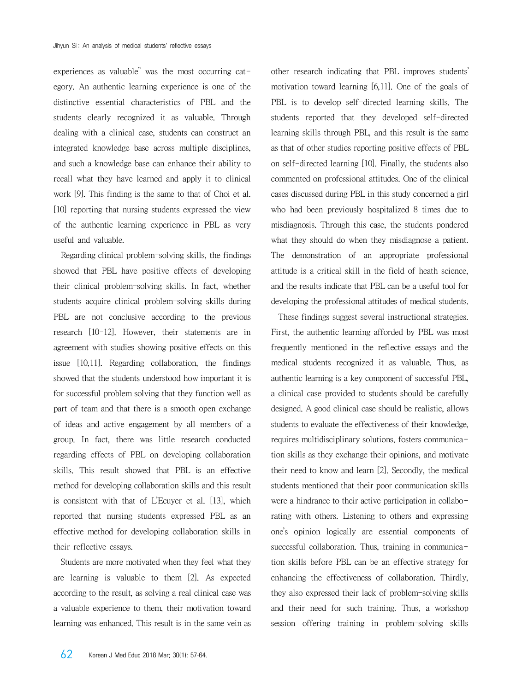experiences as valuable" was the most occurring category. An authentic learning experience is one of the distinctive essential characteristics of PBL and the students clearly recognized it as valuable. Through dealing with a clinical case, students can construct an integrated knowledge base across multiple disciplines, and such a knowledge base can enhance their ability to recall what they have learned and apply it to clinical work [9]. This finding is the same to that of Choi et al. [10] reporting that nursing students expressed the view of the authentic learning experience in PBL as very useful and valuable.

 Regarding clinical problem-solving skills, the findings showed that PBL have positive effects of developing their clinical problem-solving skills. In fact, whether students acquire clinical problem-solving skills during PBL are not conclusive according to the previous research [10-12]. However, their statements are in agreement with studies showing positive effects on this issue [10,11]. Regarding collaboration, the findings showed that the students understood how important it is for successful problem solving that they function well as part of team and that there is a smooth open exchange of ideas and active engagement by all members of a group. In fact, there was little research conducted regarding effects of PBL on developing collaboration skills. This result showed that PBL is an effective method for developing collaboration skills and this result is consistent with that of L'Ecuyer et al. [13], which reported that nursing students expressed PBL as an effective method for developing collaboration skills in their reflective essays.

 Students are more motivated when they feel what they are learning is valuable to them [2]. As expected according to the result, as solving a real clinical case was a valuable experience to them, their motivation toward learning was enhanced. This result is in the same vein as

other research indicating that PBL improves students' motivation toward learning [6,11]. One of the goals of PBL is to develop self-directed learning skills. The students reported that they developed self-directed learning skills through PBL, and this result is the same as that of other studies reporting positive effects of PBL on self-directed learning [10]. Finally, the students also commented on professional attitudes. One of the clinical cases discussed during PBL in this study concerned a girl who had been previously hospitalized 8 times due to misdiagnosis. Through this case, the students pondered what they should do when they misdiagnose a patient. The demonstration of an appropriate professional attitude is a critical skill in the field of heath science, and the results indicate that PBL can be a useful tool for developing the professional attitudes of medical students.

 These findings suggest several instructional strategies. First, the authentic learning afforded by PBL was most frequently mentioned in the reflective essays and the medical students recognized it as valuable. Thus, as authentic learning is a key component of successful PBL, a clinical case provided to students should be carefully designed. A good clinical case should be realistic, allows students to evaluate the effectiveness of their knowledge, requires multidisciplinary solutions, fosters communication skills as they exchange their opinions, and motivate their need to know and learn [2]. Secondly, the medical students mentioned that their poor communication skills were a hindrance to their active participation in collaborating with others. Listening to others and expressing one's opinion logically are essential components of successful collaboration. Thus, training in communication skills before PBL can be an effective strategy for enhancing the effectiveness of collaboration. Thirdly, they also expressed their lack of problem-solving skills and their need for such training. Thus, a workshop session offering training in problem-solving skills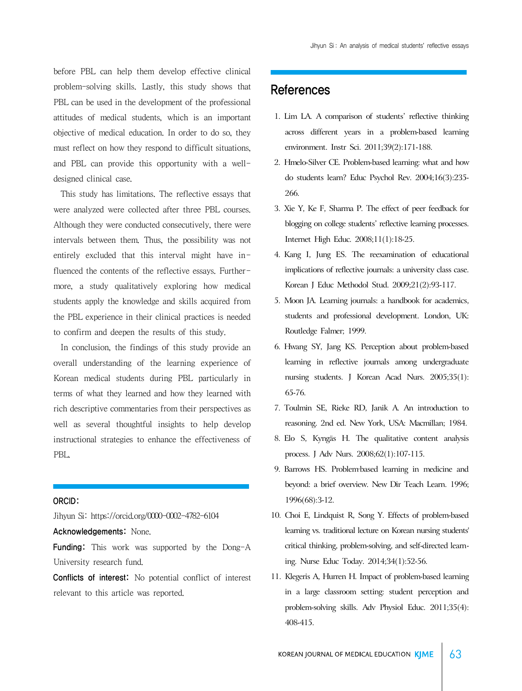before PBL can help them develop effective clinical problem-solving skills. Lastly, this study shows that PBL can be used in the development of the professional attitudes of medical students, which is an important objective of medical education. In order to do so, they must reflect on how they respond to difficult situations, and PBL can provide this opportunity with a welldesigned clinical case.

 This study has limitations. The reflective essays that were analyzed were collected after three PBL courses. Although they were conducted consecutively, there were intervals between them. Thus, the possibility was not entirely excluded that this interval might have influenced the contents of the reflective essays. Furthermore, a study qualitatively exploring how medical students apply the knowledge and skills acquired from the PBL experience in their clinical practices is needed to confirm and deepen the results of this study.

 In conclusion, the findings of this study provide an overall understanding of the learning experience of Korean medical students during PBL particularly in terms of what they learned and how they learned with rich descriptive commentaries from their perspectives as well as several thoughtful insights to help develop instructional strategies to enhance the effectiveness of PBL.

#### ORCID:

Jihyun Si: https://orcid.org/0000-0002-4782-6104

Acknowledgements: None.

**Funding:** This work was supported by the Dong-A University research fund.

Conflicts of interest: No potential conflict of interest relevant to this article was reported.

## References

- 1. Lim LA. A comparison of students' reflective thinking across different years in a problem-based learning environment. Instr Sci. 2011;39(2):171-188.
- 2. Hmelo-Silver CE. Problem-based learning: what and how do students learn? Educ Psychol Rev. 2004;16(3):235- 266.
- 3. Xie Y, Ke F, Sharma P. The effect of peer feedback for blogging on college students' reflective learning processes. Internet High Educ. 2008;11(1):18-25.
- 4. Kang I, Jung ES. The reexamination of educational implications of reflective journals: a university class case. Korean J Educ Methodol Stud. 2009;21(2):93-117.
- 5. Moon JA. Learning journals: a handbook for academics, students and professional development. London, UK: Routledge Falmer; 1999.
- 6. Hwang SY, Jang KS. Perception about problem-based learning in reflective journals among undergraduate nursing students. J Korean Acad Nurs. 2005;35(1): 65-76.
- 7. Toulmin SE, Rieke RD, Janik A. An introduction to reasoning. 2nd ed. New York, USA: Macmillan; 1984.
- 8. Elo S, Kyngäs H. The qualitative content analysis process. J Adv Nurs. 2008;62(1):107-115.
- 9. Barrows HS. Problem-based learning in medicine and beyond: a brief overview. New Dir Teach Learn. 1996; 1996(68):3-12.
- 10. Choi E, Lindquist R, Song Y. Effects of problem-based learning vs. traditional lecture on Korean nursing students' critical thinking, problem-solving, and self-directed learning. Nurse Educ Today. 2014;34(1):52-56.
- 11. Klegeris A, Hurren H. Impact of problem-based learning in a large classroom setting: student perception and problem-solving skills. Adv Physiol Educ. 2011;35(4): 408-415.